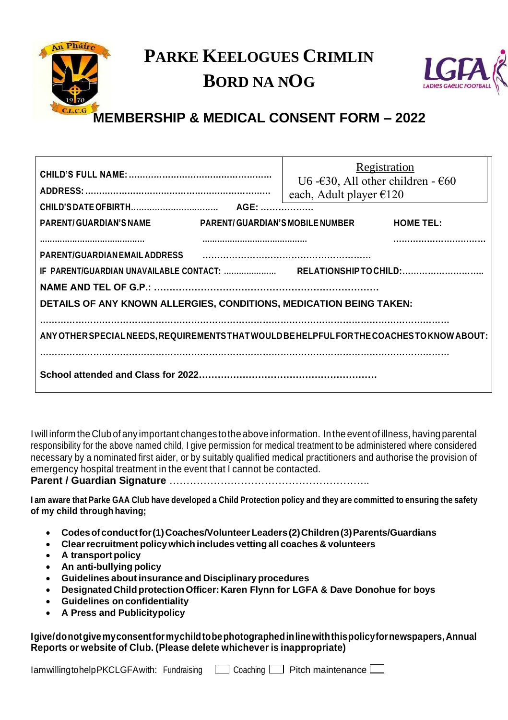

## **PARKE KEELOGUES CRIMLIN BORD NA NOG**



## **MEMBERSHIP & MEDICAL CONSENT FORM – 2022**

| <b>PARENT/GUARDIAN'S NAME</b>                                                                                      |  | Registration<br>U6 - $\epsilon$ 30, All other children - $\epsilon$ 60<br>each, Adult player $\epsilon$ 120<br>PARENT/GUARDIAN'S MOBILE NUMBER | <b>HOME TEL:</b> |
|--------------------------------------------------------------------------------------------------------------------|--|------------------------------------------------------------------------------------------------------------------------------------------------|------------------|
| <b>PARENT/GUARDIAN EMAIL ADDRESS</b><br><b>DETAILS OF ANY KNOWN ALLERGIES, CONDITIONS, MEDICATION BEING TAKEN:</b> |  |                                                                                                                                                |                  |
| ANY OTHER SPECIAL NEEDS, REQUIREMENTS THAT WOULD BE HELPFUL FOR THE COACHES TO KNOW ABOUT:                         |  |                                                                                                                                                |                  |
|                                                                                                                    |  |                                                                                                                                                |                  |

Iwill inform the Club of any important changes tothe above information. Inthe event of illness, having parental responsibility for the above named child, I give permission for medical treatment to be administered where considered necessary by a nominated first aider, or by suitably qualified medical practitioners and authorise the provision of emergency hospital treatment in the event that I cannot be contacted.

**Parent / Guardian Signature** …………………………………………………..

I am aware that Parke GAA Club have developed a Child Protection policy and they are committed to ensuring the safety **of my child through having;**

- **Codesofconductfor(1)Coaches/VolunteerLeaders(2)Children(3)Parents/Guardians**
- **Clearrecruitment policywhich includes vettingall coaches & volunteers**
- **A transport policy**
- **An anti-bullying policy**
- **Guidelines about insurance and Disciplinary procedures**
- **DesignatedChild protectionOfficer: Karen Flynn for LGFA & Dave Donohue for boys**
- **Guidelines on confidentiality**
- **A Press and Publicitypolicy**

**Igive/donotgivemyconsentformychildtobephotographedinlinewiththispolicyfornewspapers,Annual Reports or website of Club. (Please delete whichever is inappropriate)**

 $I$ amwillingtohelpPKCLGFAwith: Fundraising  $\Box$  Coaching  $\Box$  Pitch maintenance  $\Box$